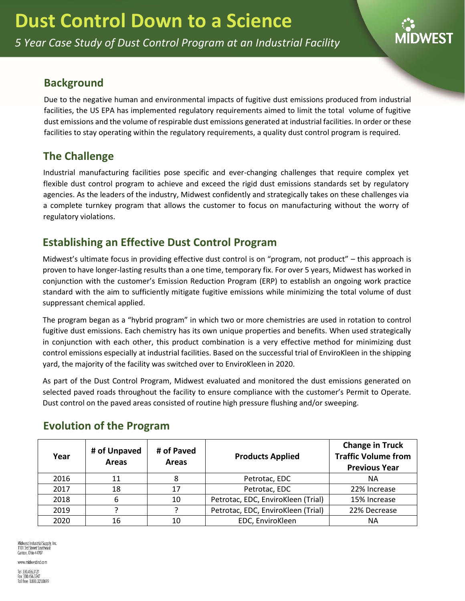*5 Year Case Study of Dust Control Program at an Industrial Facility*



#### **Background**

Due to the negative human and environmental impacts of fugitive dust emissions produced from industrial facilities, the US EPA has implemented regulatory requirements aimed to limit the total volume of fugitive dust emissions and the volume of respirable dust emissions generated at industrial facilities. In order or these facilities to stay operating within the regulatory requirements, a quality dust control program is required.

## **The Challenge**

Industrial manufacturing facilities pose specific and ever-changing challenges that require complex yet flexible dust control program to achieve and exceed the rigid dust emissions standards set by regulatory agencies. As the leaders of the industry, Midwest confidently and strategically takes on these challenges via a complete turnkey program that allows the customer to focus on manufacturing without the worry of regulatory violations.

# **Establishing an Effective Dust Control Program**

Midwest's ultimate focus in providing effective dust control is on "program, not product" – this approach is proven to have longer-lasting results than a one time, temporary fix. For over 5 years, Midwest has worked in conjunction with the customer's Emission Reduction Program (ERP) to establish an ongoing work practice standard with the aim to sufficiently mitigate fugitive emissions while minimizing the total volume of dust suppressant chemical applied.

The program began as a "hybrid program" in which two or more chemistries are used in rotation to control fugitive dust emissions. Each chemistry has its own unique properties and benefits. When used strategically in conjunction with each other, this product combination is a very effective method for minimizing dust control emissions especially at industrial facilities. Based on the successful trial of EnviroKleen in the shipping yard, the majority of the facility was switched over to EnviroKleen in 2020.

As part of the Dust Control Program, Midwest evaluated and monitored the dust emissions generated on selected paved roads throughout the facility to ensure compliance with the customer's Permit to Operate. Dust control on the paved areas consisted of routine high pressure flushing and/or sweeping.

| Year | # of Unpaved<br><b>Areas</b> | # of Paved<br><b>Areas</b> | <b>Products Applied</b>            | <b>Change in Truck</b><br><b>Traffic Volume from</b><br><b>Previous Year</b> |
|------|------------------------------|----------------------------|------------------------------------|------------------------------------------------------------------------------|
| 2016 | 11                           |                            | Petrotac, EDC                      | NА                                                                           |
| 2017 | 18                           | 17                         | Petrotac, EDC                      | 22% Increase                                                                 |
| 2018 | 6                            | 10                         | Petrotac, EDC, EnviroKleen (Trial) | 15% Increase                                                                 |
| 2019 |                              |                            | Petrotac, EDC, EnviroKleen (Trial) | 22% Decrease                                                                 |
| 2020 | 16                           | 10                         | EDC, EnviroKleen                   | ΝA                                                                           |

## **Evolution of the Program**

Midwest Industrial Supply, Inc. 1101 3rd Street Southeast Canton, Ohio 44707

www.midwestind.com Tel 330.456.3121 Fax 330.456.3247<br>Toll free 1.800.321.0699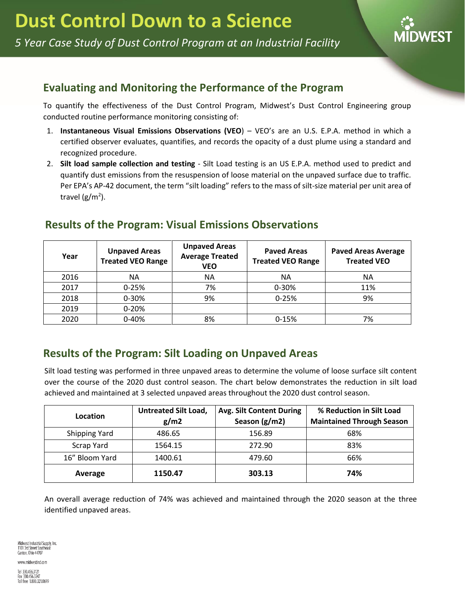

### **Evaluating and Monitoring the Performance of the Program**

To quantify the effectiveness of the Dust Control Program, Midwest's Dust Control Engineering group conducted routine performance monitoring consisting of:

- 1. **Instantaneous Visual Emissions Observations (VEO**) VEO's are an U.S. E.P.A. method in which a certified observer evaluates, quantifies, and records the opacity of a dust plume using a standard and recognized procedure.
- 2. **Silt load sample collection and testing** Silt Load testing is an US E.P.A. method used to predict and quantify dust emissions from the resuspension of loose material on the unpaved surface due to traffic. Per EPA's AP-42 document, the term "silt loading" refers to the mass of silt-size material per unit area of travel (g/m<sup>2</sup>).

## **Results of the Program: Visual Emissions Observations**

| Year | <b>Unpaved Areas</b><br><b>Treated VEO Range</b> | <b>Unpaved Areas</b><br><b>Average Treated</b><br><b>VEO</b> | <b>Paved Areas</b><br><b>Treated VEO Range</b> | <b>Paved Areas Average</b><br><b>Treated VEO</b> |
|------|--------------------------------------------------|--------------------------------------------------------------|------------------------------------------------|--------------------------------------------------|
| 2016 | <b>NA</b>                                        | ΝA                                                           | ΝA                                             | <b>NA</b>                                        |
| 2017 | $0 - 25%$                                        | 7%                                                           | $0 - 30%$                                      | 11%                                              |
| 2018 | 0-30%                                            | 9%                                                           | $0 - 25%$                                      | 9%                                               |
| 2019 | $0 - 20%$                                        |                                                              |                                                |                                                  |
| 2020 | 0-40%                                            | 8%                                                           | $0 - 15%$                                      | 7%                                               |

## **Results of the Program: Silt Loading on Unpaved Areas**

Silt load testing was performed in three unpaved areas to determine the volume of loose surface silt content over the course of the 2020 dust control season. The chart below demonstrates the reduction in silt load achieved and maintained at 3 selected unpaved areas throughout the 2020 dust control season.

| Location             | <b>Untreated Silt Load,</b> | <b>Avg. Silt Content During</b> | % Reduction in Silt Load         |
|----------------------|-----------------------------|---------------------------------|----------------------------------|
|                      | g/m2                        | Season (g/m2)                   | <b>Maintained Through Season</b> |
| <b>Shipping Yard</b> | 486.65                      | 156.89                          | 68%                              |
| Scrap Yard           | 1564.15                     | 272.90                          | 83%                              |
| 16" Bloom Yard       | 1400.61                     | 479.60                          | 66%                              |
| Average              | 1150.47                     | 303.13                          | 74%                              |

An overall average reduction of 74% was achieved and maintained through the 2020 season at the three identified unpaved areas.

Midwest Industrial Supply, Inc. 1101 3rd Street Southeast Canton, Ohio 44707

www.midwestind.com

Tel 330.456.3121 Fax 330.456.3247<br>Toll free 1.800.321.0699